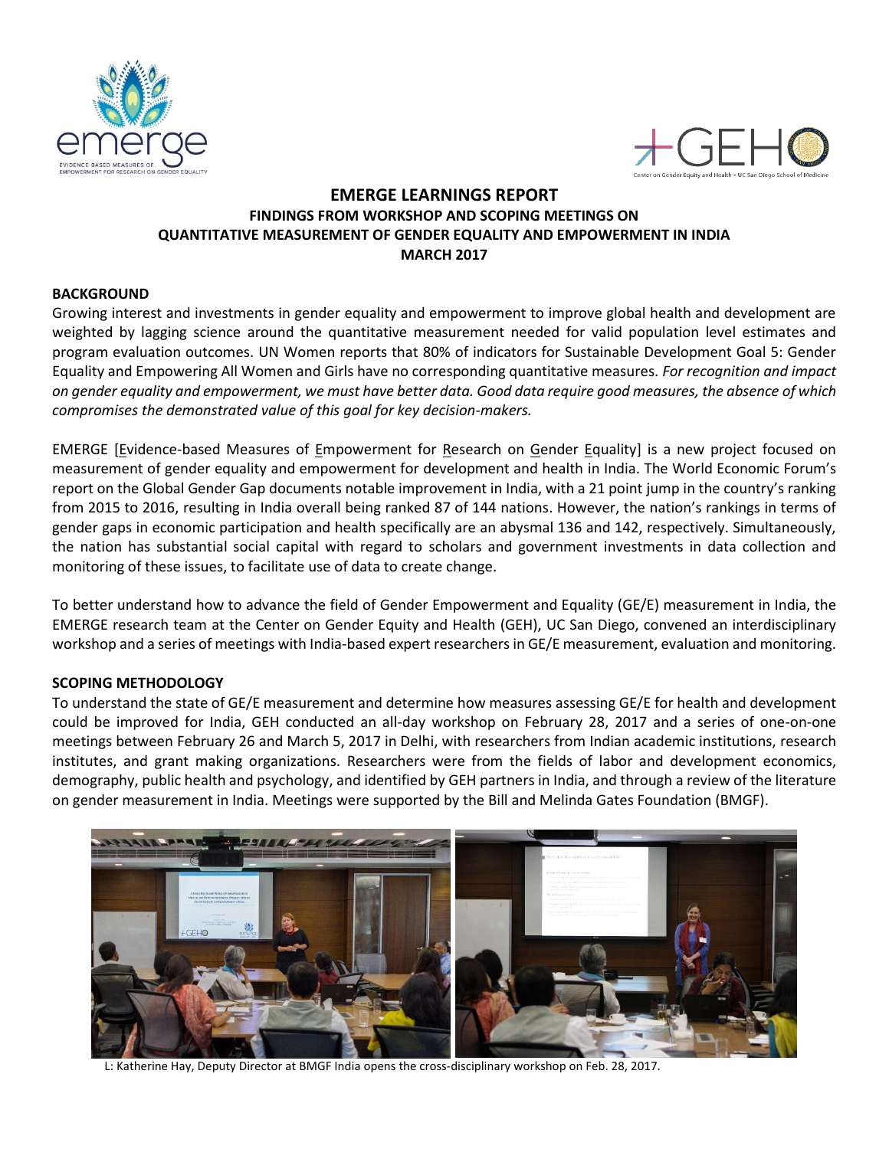



# **EMERGE LEARNINGS REPORT FINDINGS FROM WORKSHOP AND SCOPING MEETINGS ON QUANTITATIVE MEASUREMENT OF GENDER EQUALITY AND EMPOWERMENT IN INDIA MARCH 2017**

## **BACKGROUND**

Growing interest and investments in gender equality and empowerment to improve global health and development are weighted by lagging science around the quantitative measurement needed for valid population level estimates and program evaluation outcomes. UN Women reports that 80% of indicators for Sustainable Development Goal 5: Gender Equality and Empowering All Women and Girls have no corresponding quantitative measures. *For recognition and impact on gender equality and empowerment, we must have better data. Good data require good measures, the absence of which compromises the demonstrated value of this goal for key decision-makers.*

EMERGE [Evidence-based Measures of Empowerment for Research on Gender Equality] is a new project focused on measurement of gender equality and empowerment for development and health in India. The World Economic Forum's report on the Global Gender Gap documents notable improvement in India, with a 21 point jump in the country's ranking from 2015 to 2016, resulting in India overall being ranked 87 of 144 nations. However, the nation's rankings in terms of gender gaps in economic participation and health specifically are an abysmal 136 and 142, respectively. Simultaneously, the nation has substantial social capital with regard to scholars and government investments in data collection and monitoring of these issues, to facilitate use of data to create change.

To better understand how to advance the field of Gender Empowerment and Equality (GE/E) measurement in India, the EMERGE research team at the Center on Gender Equity and Health (GEH), UC San Diego, convened an interdisciplinary workshop and a series of meetings with India-based expert researchers in GE/E measurement, evaluation and monitoring.

### **SCOPING METHODOLOGY**

To understand the state of GE/E measurement and determine how measures assessing GE/E for health and development could be improved for India, GEH conducted an all-day workshop on February 28, 2017 and a series of one-on-one meetings between February 26 and March 5, 2017 in Delhi, with researchers from Indian academic institutions, research institutes, and grant making organizations. Researchers were from the fields of labor and development economics, demography, public health and psychology, and identified by GEH partners in India, and through a review of the literature on gender measurement in India. Meetings were supported by the Bill and Melinda Gates Foundation (BMGF).



L: Katherine Hay, Deputy Director at BMGF India opens the cross-disciplinary workshop on Feb. 28, 2017.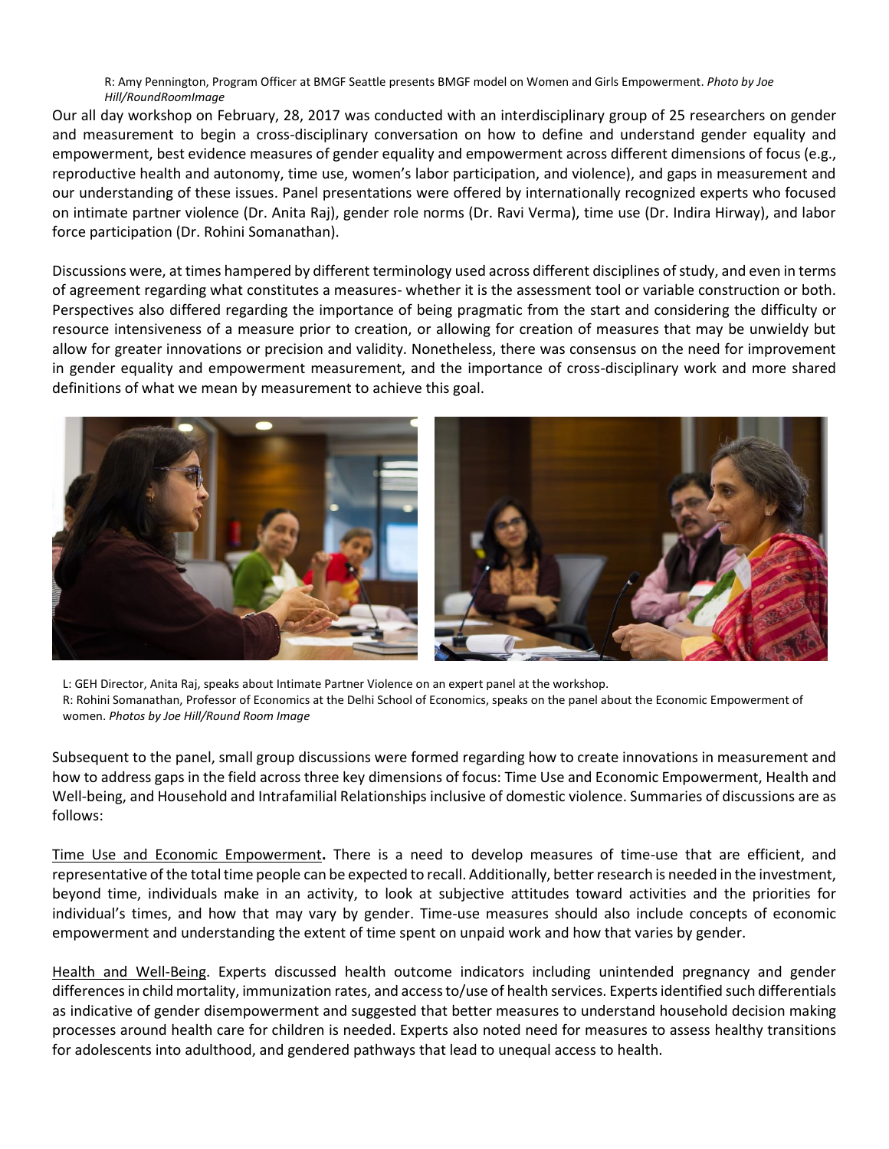R: Amy Pennington, Program Officer at BMGF Seattle presents BMGF model on Women and Girls Empowerment. *Photo by Joe Hill/RoundRoomImage*

Our all day workshop on February, 28, 2017 was conducted with an interdisciplinary group of 25 researchers on gender and measurement to begin a cross-disciplinary conversation on how to define and understand gender equality and empowerment, best evidence measures of gender equality and empowerment across different dimensions of focus (e.g., reproductive health and autonomy, time use, women's labor participation, and violence), and gaps in measurement and our understanding of these issues. Panel presentations were offered by internationally recognized experts who focused on intimate partner violence (Dr. Anita Raj), gender role norms (Dr. Ravi Verma), time use (Dr. Indira Hirway), and labor force participation (Dr. Rohini Somanathan).

Discussions were, at times hampered by different terminology used across different disciplines of study, and even in terms of agreement regarding what constitutes a measures- whether it is the assessment tool or variable construction or both. Perspectives also differed regarding the importance of being pragmatic from the start and considering the difficulty or resource intensiveness of a measure prior to creation, or allowing for creation of measures that may be unwieldy but allow for greater innovations or precision and validity. Nonetheless, there was consensus on the need for improvement in gender equality and empowerment measurement, and the importance of cross-disciplinary work and more shared definitions of what we mean by measurement to achieve this goal.



L: GEH Director, Anita Raj, speaks about Intimate Partner Violence on an expert panel at the workshop. R: Rohini Somanathan, Professor of Economics at the Delhi School of Economics, speaks on the panel about the Economic Empowerment of women. *Photos by Joe Hill/Round Room Image*

Subsequent to the panel, small group discussions were formed regarding how to create innovations in measurement and how to address gaps in the field across three key dimensions of focus: Time Use and Economic Empowerment, Health and Well-being, and Household and Intrafamilial Relationships inclusive of domestic violence. Summaries of discussions are as follows:

Time Use and Economic Empowerment**.** There is a need to develop measures of time-use that are efficient, and representative of the total time people can be expected to recall. Additionally, better research is needed in the investment, beyond time, individuals make in an activity, to look at subjective attitudes toward activities and the priorities for individual's times, and how that may vary by gender. Time-use measures should also include concepts of economic empowerment and understanding the extent of time spent on unpaid work and how that varies by gender.

Health and Well-Being. Experts discussed health outcome indicators including unintended pregnancy and gender differences in child mortality, immunization rates, and access to/use of health services. Experts identified such differentials as indicative of gender disempowerment and suggested that better measures to understand household decision making processes around health care for children is needed. Experts also noted need for measures to assess healthy transitions for adolescents into adulthood, and gendered pathways that lead to unequal access to health.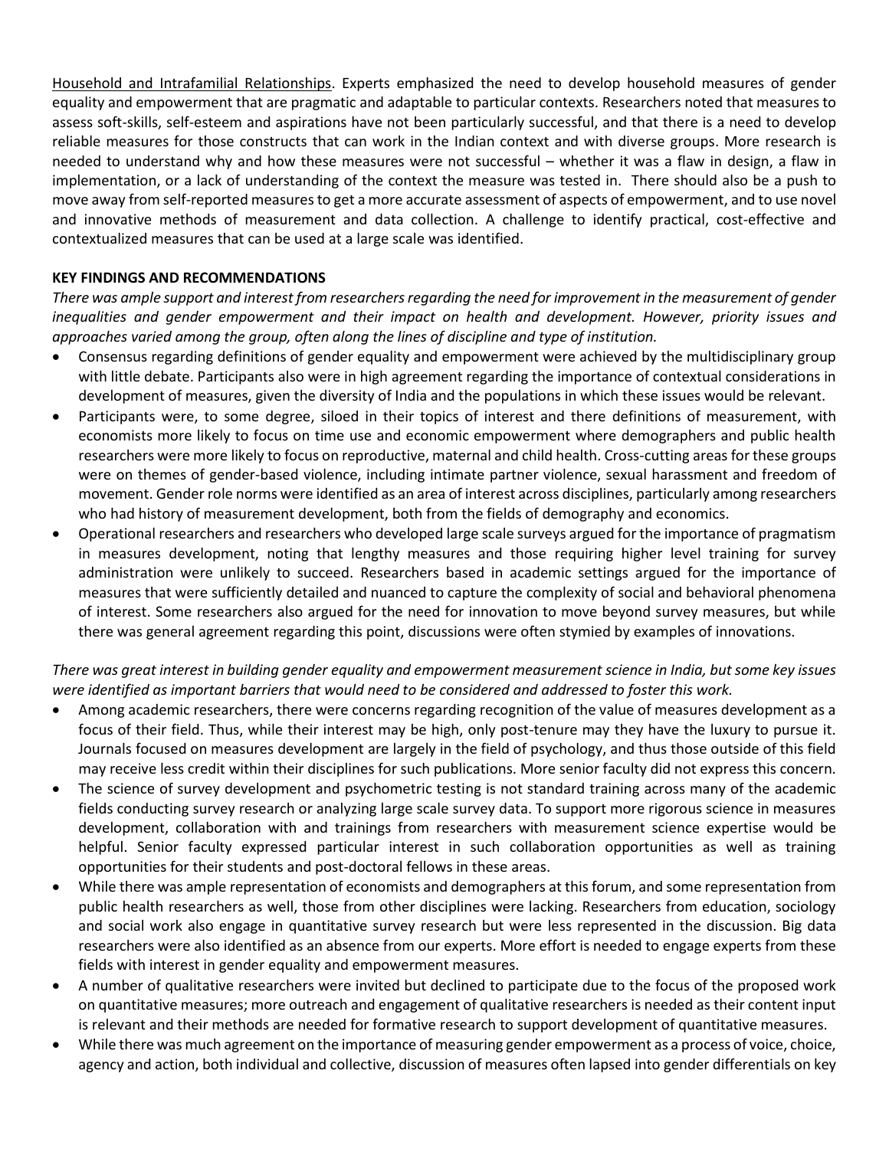Household and Intrafamilial Relationships. Experts emphasized the need to develop household measures of gender equality and empowerment that are pragmatic and adaptable to particular contexts. Researchers noted that measures to assess soft-skills, self-esteem and aspirations have not been particularly successful, and that there is a need to develop reliable measures for those constructs that can work in the Indian context and with diverse groups. More research is needed to understand why and how these measures were not successful – whether it was a flaw in design, a flaw in implementation, or a lack of understanding of the context the measure was tested in. There should also be a push to move away from self-reported measures to get a more accurate assessment of aspects of empowerment, and to use novel and innovative methods of measurement and data collection. A challenge to identify practical, cost-effective and contextualized measures that can be used at a large scale was identified.

## **KEY FINDINGS AND RECOMMENDATIONS**

*There was ample support and interest from researchers regarding the need for improvement in the measurement of gender inequalities and gender empowerment and their impact on health and development. However, priority issues and approaches varied among the group, often along the lines of discipline and type of institution.*

- Consensus regarding definitions of gender equality and empowerment were achieved by the multidisciplinary group with little debate. Participants also were in high agreement regarding the importance of contextual considerations in development of measures, given the diversity of India and the populations in which these issues would be relevant.
- Participants were, to some degree, siloed in their topics of interest and there definitions of measurement, with economists more likely to focus on time use and economic empowerment where demographers and public health researchers were more likely to focus on reproductive, maternal and child health. Cross-cutting areas for these groups were on themes of gender-based violence, including intimate partner violence, sexual harassment and freedom of movement. Gender role norms were identified as an area of interest across disciplines, particularly among researchers who had history of measurement development, both from the fields of demography and economics.
- Operational researchers and researchers who developed large scale surveys argued for the importance of pragmatism in measures development, noting that lengthy measures and those requiring higher level training for survey administration were unlikely to succeed. Researchers based in academic settings argued for the importance of measures that were sufficiently detailed and nuanced to capture the complexity of social and behavioral phenomena of interest. Some researchers also argued for the need for innovation to move beyond survey measures, but while there was general agreement regarding this point, discussions were often stymied by examples of innovations.

## *There was great interest in building gender equality and empowerment measurement science in India, but some key issues were identified as important barriers that would need to be considered and addressed to foster this work.*

- Among academic researchers, there were concerns regarding recognition of the value of measures development as a focus of their field. Thus, while their interest may be high, only post-tenure may they have the luxury to pursue it. Journals focused on measures development are largely in the field of psychology, and thus those outside of this field may receive less credit within their disciplines for such publications. More senior faculty did not express this concern.
- The science of survey development and psychometric testing is not standard training across many of the academic fields conducting survey research or analyzing large scale survey data. To support more rigorous science in measures development, collaboration with and trainings from researchers with measurement science expertise would be helpful. Senior faculty expressed particular interest in such collaboration opportunities as well as training opportunities for their students and post-doctoral fellows in these areas.
- While there was ample representation of economists and demographers at this forum, and some representation from public health researchers as well, those from other disciplines were lacking. Researchers from education, sociology and social work also engage in quantitative survey research but were less represented in the discussion. Big data researchers were also identified as an absence from our experts. More effort is needed to engage experts from these fields with interest in gender equality and empowerment measures.
- A number of qualitative researchers were invited but declined to participate due to the focus of the proposed work on quantitative measures; more outreach and engagement of qualitative researchers is needed as their content input is relevant and their methods are needed for formative research to support development of quantitative measures.
- While there was much agreement on the importance of measuring gender empowerment as a process of voice, choice, agency and action, both individual and collective, discussion of measures often lapsed into gender differentials on key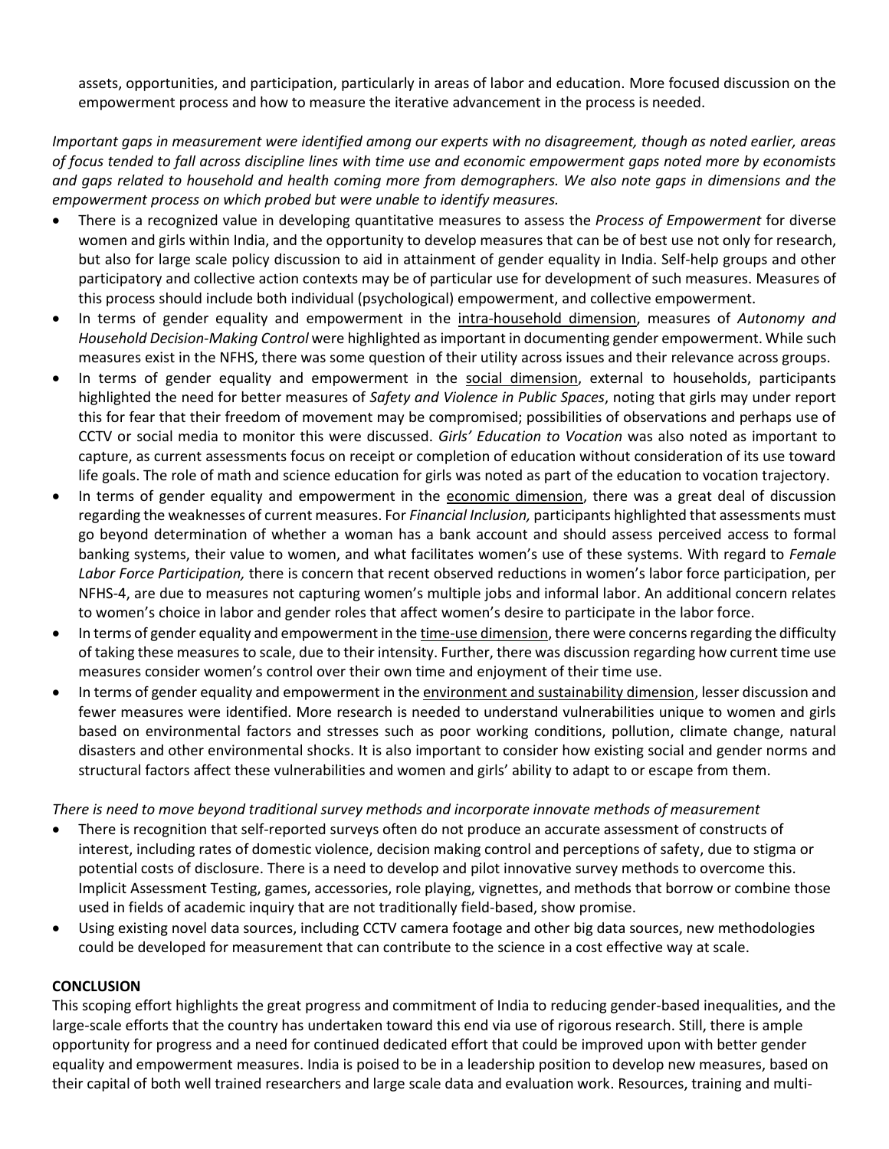assets, opportunities, and participation, particularly in areas of labor and education. More focused discussion on the empowerment process and how to measure the iterative advancement in the process is needed.

*Important gaps in measurement were identified among our experts with no disagreement, though as noted earlier, areas of focus tended to fall across discipline lines with time use and economic empowerment gaps noted more by economists and gaps related to household and health coming more from demographers. We also note gaps in dimensions and the empowerment process on which probed but were unable to identify measures.* 

- There is a recognized value in developing quantitative measures to assess the *Process of Empowerment* for diverse women and girls within India, and the opportunity to develop measures that can be of best use not only for research, but also for large scale policy discussion to aid in attainment of gender equality in India. Self-help groups and other participatory and collective action contexts may be of particular use for development of such measures. Measures of this process should include both individual (psychological) empowerment, and collective empowerment.
- In terms of gender equality and empowerment in the intra-household dimension, measures of *Autonomy and Household Decision-Making Control* were highlighted as important in documenting gender empowerment. While such measures exist in the NFHS, there was some question of their utility across issues and their relevance across groups.
- In terms of gender equality and empowerment in the social dimension, external to households, participants highlighted the need for better measures of *Safety and Violence in Public Spaces*, noting that girls may under report this for fear that their freedom of movement may be compromised; possibilities of observations and perhaps use of CCTV or social media to monitor this were discussed. *Girls' Education to Vocation* was also noted as important to capture, as current assessments focus on receipt or completion of education without consideration of its use toward life goals. The role of math and science education for girls was noted as part of the education to vocation trajectory.
- In terms of gender equality and empowerment in the economic dimension, there was a great deal of discussion regarding the weaknesses of current measures. For *Financial Inclusion,* participants highlighted that assessments must go beyond determination of whether a woman has a bank account and should assess perceived access to formal banking systems, their value to women, and what facilitates women's use of these systems. With regard to *Female Labor Force Participation,* there is concern that recent observed reductions in women's labor force participation, per NFHS-4, are due to measures not capturing women's multiple jobs and informal labor. An additional concern relates to women's choice in labor and gender roles that affect women's desire to participate in the labor force.
- In terms of gender equality and empowerment in the time-use dimension, there were concerns regarding the difficulty of taking these measures to scale, due to their intensity. Further, there was discussion regarding how current time use measures consider women's control over their own time and enjoyment of their time use.
- In terms of gender equality and empowerment in the environment and sustainability dimension, lesser discussion and fewer measures were identified. More research is needed to understand vulnerabilities unique to women and girls based on environmental factors and stresses such as poor working conditions, pollution, climate change, natural disasters and other environmental shocks. It is also important to consider how existing social and gender norms and structural factors affect these vulnerabilities and women and girls' ability to adapt to or escape from them.

*There is need to move beyond traditional survey methods and incorporate innovate methods of measurement*

- There is recognition that self-reported surveys often do not produce an accurate assessment of constructs of interest, including rates of domestic violence, decision making control and perceptions of safety, due to stigma or potential costs of disclosure. There is a need to develop and pilot innovative survey methods to overcome this. Implicit Assessment Testing, games, accessories, role playing, vignettes, and methods that borrow or combine those used in fields of academic inquiry that are not traditionally field-based, show promise.
- Using existing novel data sources, including CCTV camera footage and other big data sources, new methodologies could be developed for measurement that can contribute to the science in a cost effective way at scale.

### **CONCLUSION**

This scoping effort highlights the great progress and commitment of India to reducing gender-based inequalities, and the large-scale efforts that the country has undertaken toward this end via use of rigorous research. Still, there is ample opportunity for progress and a need for continued dedicated effort that could be improved upon with better gender equality and empowerment measures. India is poised to be in a leadership position to develop new measures, based on their capital of both well trained researchers and large scale data and evaluation work. Resources, training and multi